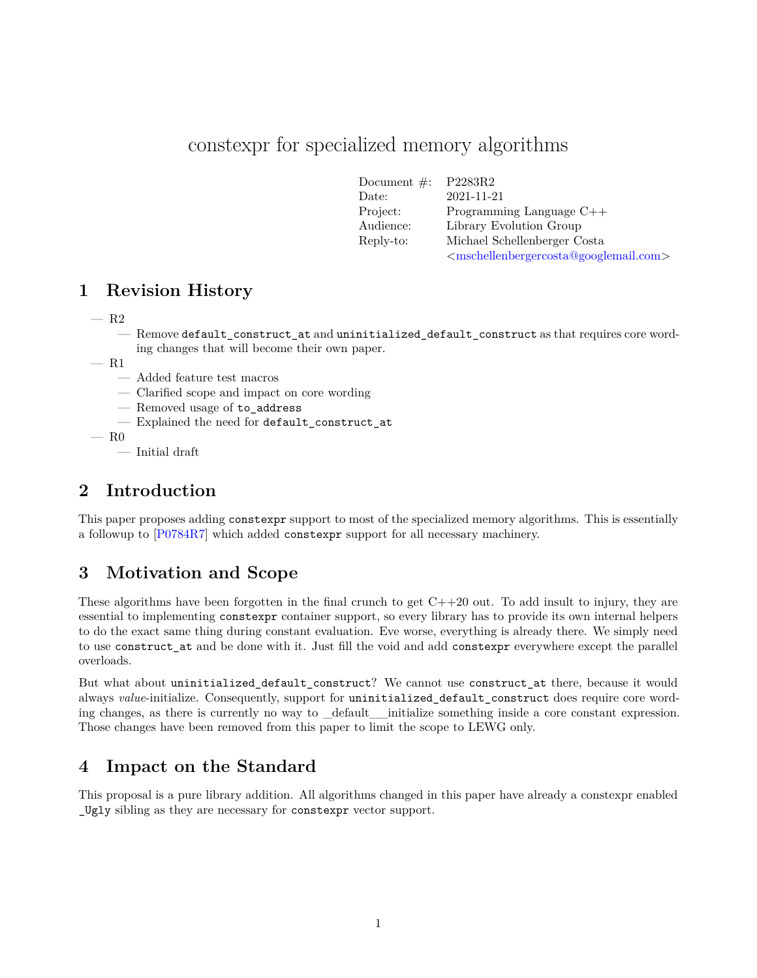# constexpr for specialized memory algorithms

| Document $\#$ : | P2283R2                                                                     |
|-----------------|-----------------------------------------------------------------------------|
| Date:           | 2021-11-21                                                                  |
| Project:        | Programming Language $C++$                                                  |
| Audience:       | Library Evolution Group                                                     |
| Reply-to:       | Michael Schellenberger Costa                                                |
|                 | <mschellenbergercosta@googlemail.com></mschellenbergercosta@googlemail.com> |

## **1 Revision History**

- R2
	- Remove default\_construct\_at and uninitialized\_default\_construct as that requires core wording changes that will become their own paper.
- R1
	- Added feature test macros
	- Clarified scope and impact on core wording
	- Removed usage of to\_address
	- Explained the need for default\_construct\_at
- $-$  R<sub>0</sub>
	- Initial draft

## **2 Introduction**

This paper proposes adding constexpr support to most of the specialized memory algorithms. This is essentially a followup to [[P0784R7\]](#page-8-0) which added constexpr support for all necessary machinery.

## **3 Motivation and Scope**

These algorithms have been forgotten in the final crunch to get C++20 out. To add insult to injury, they are essential to implementing constexpr container support, so every library has to provide its own internal helpers to do the exact same thing during constant evaluation. Eve worse, everything is already there. We simply need to use construct\_at and be done with it. Just fill the void and add constexpr everywhere except the parallel overloads.

But what about uninitialized\_default\_construct? We cannot use construct\_at there, because it would always *value*-initialize. Consequently, support for uninitialized\_default\_construct does require core wording changes, as there is currently no way to \_default\_\_initialize something inside a core constant expression. Those changes have been removed from this paper to limit the scope to LEWG only.

## **4 Impact on the Standard**

This proposal is a pure library addition. All algorithms changed in this paper have already a constexpr enabled \_Ugly sibling as they are necessary for constexpr vector support.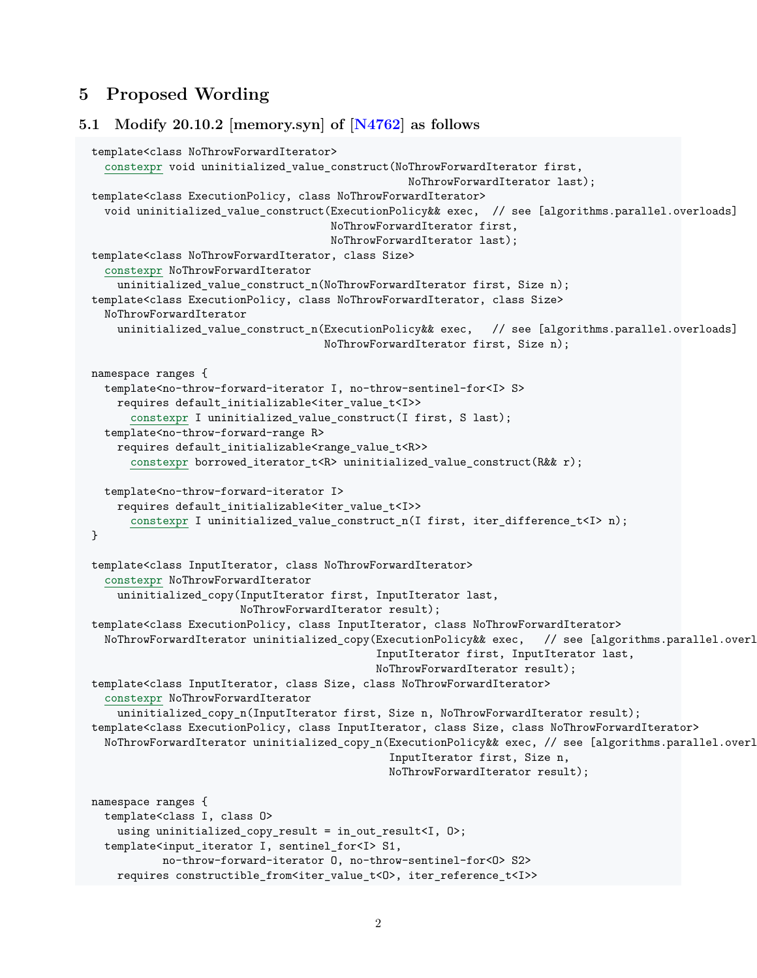## **5 Proposed Wording**

```
5.1 Modify 20.10.2 [memory.syn] of [N4762] as follows
  template<class NoThrowForwardIterator>
    constexpr void uninitialized_value_construct(NoThrowForwardIterator first,
                                                   NoThrowForwardIterator last);
  template<class ExecutionPolicy, class NoThrowForwardIterator>
   void uninitialized_value_construct(ExecutionPolicy&& exec, // see [algorithms.parallel.overloads]
                                       NoThrowForwardIterator first,
                                       NoThrowForwardIterator last);
  template<class NoThrowForwardIterator, class Size>
   constexpr NoThrowForwardIterator
      uninitialized_value_construct_n(NoThrowForwardIterator first, Size n);
  template<class ExecutionPolicy, class NoThrowForwardIterator, class Size>
   NoThrowForwardIterator
     uninitialized_value_construct_n(ExecutionPolicy&& exec, // see [algorithms.parallel.overloads]
                                      NoThrowForwardIterator first, Size n);
 namespace ranges {
   template<no-throw-forward-iterator I, no-throw-sentinel-for<I> S>
      requires default_initializable<iter_value_t<I>>
        constexpr I uninitialized_value_construct(I first, S last);
   template<no-throw-forward-range R>
     requires default_initializable<range_value_t<R>>
        constexpr borrowed_iterator_t<R> uninitialized_value_construct(R&& r);
   template<no-throw-forward-iterator I>
      requires default_initializable<iter_value_t<I>>
        constexpr I uninitialized_value_construct_n(I first, iter_difference_t<I> n);
  }
  template<class InputIterator, class NoThrowForwardIterator>
   constexpr NoThrowForwardIterator
      uninitialized_copy(InputIterator first, InputIterator last,
                         NoThrowForwardIterator result);
  template<class ExecutionPolicy, class InputIterator, class NoThrowForwardIterator>
   NoThrowForwardIterator uninitialized_copy(ExecutionPolicy&& exec, // see [algorithms.parallel.overl
                                              InputIterator first, InputIterator last,
                                              NoThrowForwardIterator result);
  template<class InputIterator, class Size, class NoThrowForwardIterator>
   constexpr NoThrowForwardIterator
      uninitialized_copy_n(InputIterator first, Size n, NoThrowForwardIterator result);
  template<class ExecutionPolicy, class InputIterator, class Size, class NoThrowForwardIterator>
    NoThrowForwardIterator uninitialized_copy_n(ExecutionPolicy&& exec, // see [algorithms.parallel.overl
                                                InputIterator first, Size n,
                                                NoThrowForwardIterator result);
 namespace ranges {
   template<class I, class O>
     using uninitialized_copy_result = in_out_result<I, O>;
   template<input_iterator I, sentinel_for<I> S1,
            no-throw-forward-iterator O, no-throw-sentinel-for<O> S2>
     requires constructible_from<iter_value_t<0>, iter_reference_t<I>>
```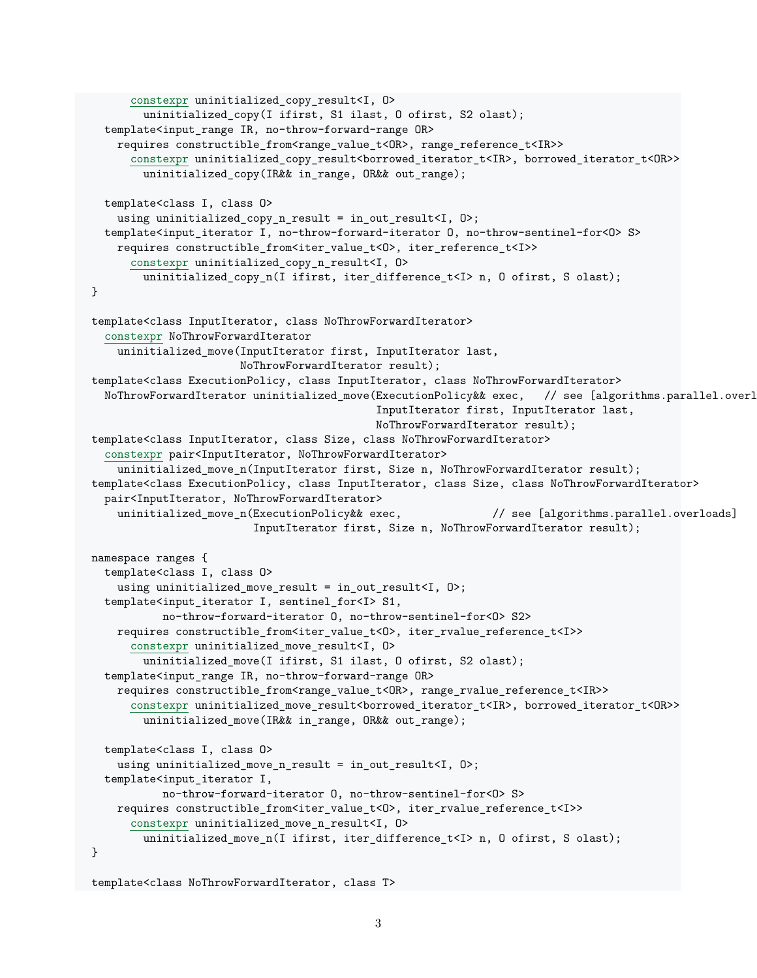```
constexpr uninitialized_copy_result<I, O>
        uninitialized_copy(I ifirst, S1 ilast, O ofirst, S2 olast);
  template<input_range IR, no-throw-forward-range OR>
    requires constructible_from<range_value_t<OR>, range_reference_t<IR>>
      constexpr uninitialized copy result<br/>borrowed iterator t<IR>, borrowed iterator t<OR>>
        uninitialized_copy(IR&& in_range, OR&& out_range);
  template<class I, class O>
    using uninitialized_copy_n_result = in_out_result<I, O>;
  template<input_ iterator I, no-throw-forward-iterator O, no-throw-sentinel-for<O> S>
    requires constructible_from<iter_value_t<O>, iter_reference_t<I>>
      constexpr uninitialized_copy_n_result<I, O>
        uninitialized_copy_n(I ifirst, iter_difference_t<I> n, 0 ofirst, S olast);
}
template<class InputIterator, class NoThrowForwardIterator>
  constexpr NoThrowForwardIterator
    uninitialized_move(InputIterator first, InputIterator last,
                       NoThrowForwardIterator result);
template<class ExecutionPolicy, class InputIterator, class NoThrowForwardIterator>
  NoThrowForwardIterator uninitialized_move(ExecutionPolicy&& exec, // see [algorithms.parallel.overl
                                            InputIterator first, InputIterator last,
                                            NoThrowForwardIterator result);
template<class InputIterator, class Size, class NoThrowForwardIterator>
  constexpr pair<InputIterator, NoThrowForwardIterator>
    uninitialized_move_n(InputIterator first, Size n, NoThrowForwardIterator result);
template<class ExecutionPolicy, class InputIterator, class Size, class NoThrowForwardIterator>
  pair<InputIterator, NoThrowForwardIterator>
    uninitialized_move_n(ExecutionPolicy&& exec, \frac{1}{2} see [algorithms.parallel.overloads]
                         InputIterator first, Size n, NoThrowForwardIterator result);
namespace ranges {
  template<class I, class O>
    using uninitialized_move_result = in_out_result<I, O>;
  template<input_iterator I, sentinel_for<I> S1,
           no-throw-forward-iterator O, no-throw-sentinel-for<O> S2>
    requires constructible_from<iter_value_t<O>, iter_rvalue_reference_t<I>>
      constexpr uninitialized_move_result<I, O>
        uninitialized move(I ifirst, S1 ilast, O ofirst, S2 olast);
  template<input_range IR, no-throw-forward-range OR>
    requires constructible_ from<range_value_t<OR>, range_rvalue_reference_t<IR>>
      constexpr uninitialized_move_result<borrowed_iterator_t<IR>, borrowed_iterator_t<OR>>
        uninitialized_move(IR&& in_range, OR&& out_range);
  template<class I, class O>
    using uninitialized_move_n_result = in_out_result<I, O>;
  template<input iterator I,
           no-throw-forward-iterator O, no-throw-sentinel-for<O> S>
    requires constructible_from<iter_value_t<O>, iter_rvalue_reference_t<I>>
      constexpr uninitialized move n result<I, 0>
        uninitialized_move_n(I ifirst, iter_difference_t<I> n, O ofirst, S olast);
}
```

```
3
```
template<class NoThrowForwardIterator, class T>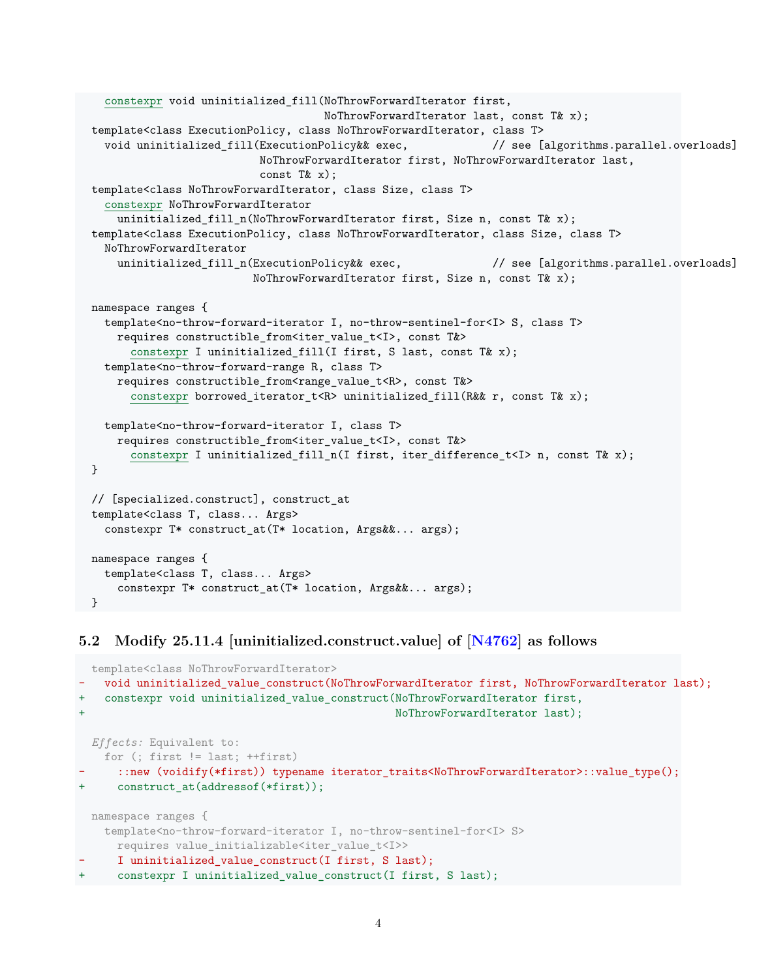```
constexpr void uninitialized_fill(NoThrowForwardIterator first,
                                     NoThrowForwardIterator last, const T& x);
template<class ExecutionPolicy, class NoThrowForwardIterator, class T>
  void uninitialized_fill(ExecutionPolicy&& exec, \qquad \qquad \qquad \qquad \qquad// see [algorithms.parallel.overloads]
                           NoThrowForwardIterator first, NoThrowForwardIterator last,
                           const T& x);
template<class NoThrowForwardIterator, class Size, class T>
  constexpr NoThrowForwardIterator
    uninitialized_fill_n(NoThrowForwardIterator first, Size n, const T& x);
template<class ExecutionPolicy, class NoThrowForwardIterator, class Size, class T>
  NoThrowForwardIterator
    uninitialized_fill_n(ExecutionPolicy&& exec, \frac{1}{2} // see [algorithms.parallel.overloads]
                         NoThrowForwardIterator first, Size n, const T& x);
namespace ranges {
  template<no-throw-forward-iterator I, no-throw-sentinel-for<I> S, class T>
    requires constructible_ from<iter_value_t<I>, const T&>
      constexpr I uninitialized_fill(I first, S last, const T& x);
  template<no-throw-forward-range R, class T>
    requires constructible_from<range_value_t<R>, const T&>
      constexpr borrowed_iterator_t<R> uninitialized_fill(R&& r, const T& x);
  template<no-throw-forward-iterator I, class T>
    requires constructible_ from<iter_value_t<I>, const T&>
      constexpr I uninitialized_fill_n(I first, iter_difference_t<I> n, const T& x);
}
// [specialized.construct], construct_ at
template<class T, class... Args>
  constexpr T* construct_at(T* location, Args&&... args);
namespace ranges {
  template<class T, class... Args>
    constexpr T* construct_at(T* location, Args&&... args);
}
```
#### **5.2 Modify 25.11.4 [uninitialized.construct.value] of [\[N4762\]](#page-8-1) as follows**

```
template<class NoThrowForwardIterator>
   - void uninitialized_value_construct(NoThrowForwardIterator first, NoThrowForwardIterator last);
+ constexpr void uninitialized_value_construct(NoThrowForwardIterator first,
                                                NoThrowForwardIterator last);
 Effects: Equivalent to:
   for (; first != last; ++first)
     - ::new (voidify(*first)) typename iterator_traits<NoThrowForwardIterator>::value_type();
     construct_at(addressof(*first));
 namespace ranges {
   template<no-throw-forward-iterator I, no-throw-sentinel-for<I> S>
     requires value_initializable<iter_value_t<I>>
     I uninitialized value construct(I first, S last);
+ constexpr I uninitialized_value_construct(I first, S last);
```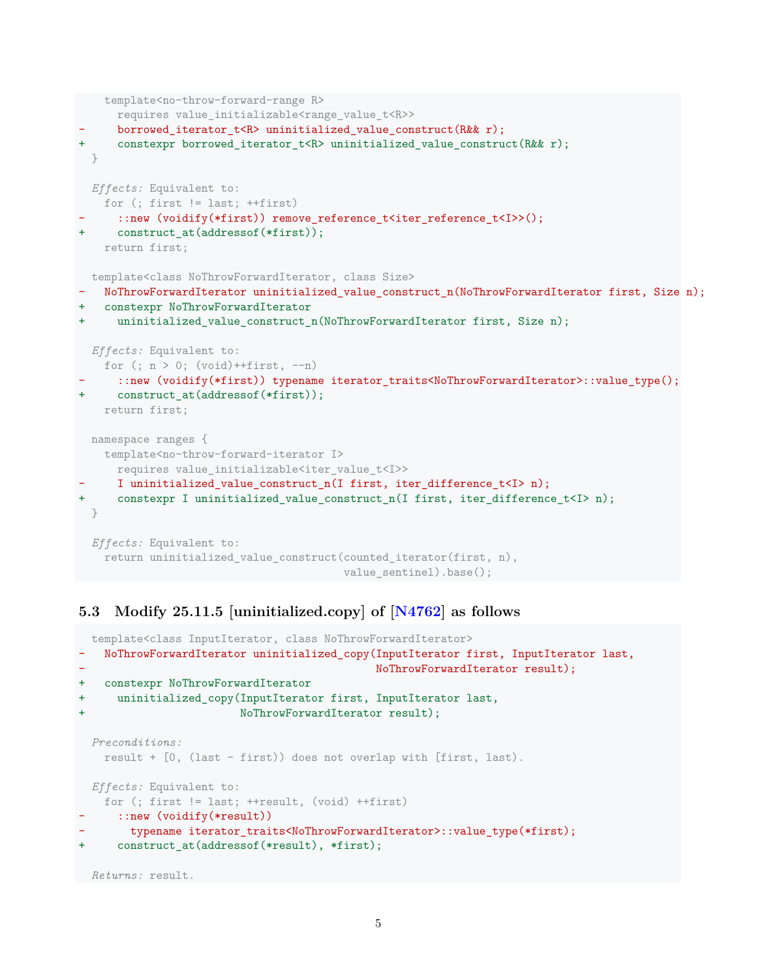```
template<no-throw-forward-range R>
     requires value_initializable<range_value_t<R>>
     borrowed_iterator_t<R> uninitialized_value_construct(R&& r);
+ constexpr borrowed iterator t<R> uninitialized value construct(R&& r);
 }
 Effects: Equivalent to:
   for (; first != last; ++first)
     ::new (voidify(*first)) remove_reference_t<iter_reference_t<I>>();
     construct at(addressof(*first));
   return first;
template<class NoThrowForwardIterator, class Size>
- NoThrowForwardIterator uninitialized_value_construct_n(NoThrowForwardIterator first, Size n);
  constexpr NoThrowForwardIterator
+ uninitialized value construct n(NoThrowForwardIterator first, Size n);
 Effects: Equivalent to:
   for (; n > 0; (void)++first, --n)- ::new (voidify(*first)) typename iterator_traits<NoThrowForwardIterator>::value_type();
+ construct at(addressof(*first));
   return first;
 namespace ranges {
   template<no-throw-forward-iterator I>
     requires value_initializable<iter_value_t<I>>
     I uninitialized_value_construct_n(I first, iter_difference_t<I> n);
+ constexpr I uninitialized value construct n(I first, iter difference t < I);
 }
 Effects: Equivalent to:
   return uninitialized_value_construct(counted_iterator(first, n),
                                        value sentinel).base();
```
#### **5.3 Modify 25.11.5 [uninitialized.copy] of [\[N4762\]](#page-8-1) as follows**

```
template<class InputIterator, class NoThrowForwardIterator>
- NoThrowForwardIterator uninitialized_copy(InputIterator first, InputIterator last,
                                            NoThrowForwardIterator result);
+ constexpr NoThrowForwardIterator
+ uninitialized_copy(InputIterator first, InputIterator last,
                        NoThrowForwardIterator result);
 Preconditions:
   result + [0, (last - first)) does not overlap with [first, last).
 Effects: Equivalent to:
   for (; first != last; ++result, (void) ++first)
     ::new (voidify(*result))
       typename iterator traits<NoThrowForwardIterator>::value type(*first);
+ construct_at(addressof(*result), *first);
Returns: result.
```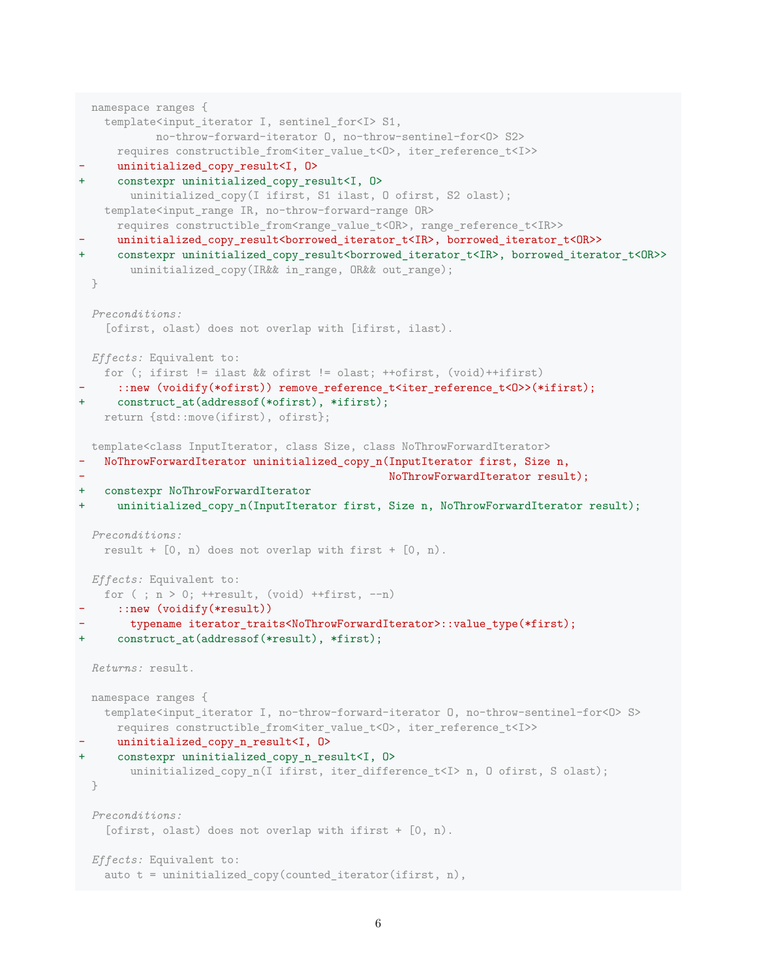```
namespace ranges {
    template<input_iterator I, sentinel_for<I> S1,
            no-throw-forward-iterator O, no-throw-sentinel-for<O> S2>
     requires constructible_from<iter_value_t<D>, iter_reference_t<I>>
     uninitialized copy result<I, 0>
+ constexpr uninitialized_copy_result<I, O>
       uninitialized_copy(I ifirst, S1 ilast, O ofirst, S2 olast);
   template<input_ range IR, no-throw-forward-range OR>
     requires constructible_from<range_value_t<OR>, range_reference_t<IR>>
     uninitialized copy result<br/>borrowed iterator t<IR>, borrowed iterator t<OR>>
     + constexpr uninitialized_copy_result<borrowed_iterator_t<IR>, borrowed_iterator_t<OR>>
       uninitialized_copy(IR&& in_range, OR&& out_range);
 }
 Preconditions:
   [ofirst, olast) does not overlap with [ifirst, ilast).
 Effects: Equivalent to:
   for (; ifirst != ilast && ofirst != olast; ++ofirst, (void)++ifirst)
      ::new (voidify(*ofirst)) remove_reference_t<iter_reference_t<O>>(*ifirst);
     construct_at(addressof(*ofirst), *ifirst);
   return {std::move(ifirst), ofirst};
 template<class InputIterator, class Size, class NoThrowForwardIterator>
   - NoThrowForwardIterator uninitialized_copy_n(InputIterator first, Size n,
                                                NoThrowForwardIterator result);
+ constexpr NoThrowForwardIterator
     uninitialized_copy_n(InputIterator first, Size n, NoThrowForwardIterator result);
 Preconditions:
   result + [0, n) does not overlap with first + [0, n).
 Effects: Equivalent to:
   for (; n > 0; ++result, (void) ++first, --n)
     ::new (voidify(*result))
       - typename iterator_traits<NoThrowForwardIterator>::value_type(*first);
     construct_at(addressof(*result), *first);
 Returns: result.
 namespace ranges {
   template<input_iterator I, no-throw-forward-iterator O, no-throw-sentinel-for<O> S>
     requires constructible_from<iter_value_t<O>, iter_reference_t<I>>
     uninitialized_copy_n_result<I, 0>
     constexpr uninitialized_copy_n_result<I, 0>
       uninitialized_copy_n(I ifirst, iter_difference_t<I> n, O ofirst, S olast);
 }
 Preconditions:
   [ofirst, olast) does not overlap with ifirst + [0, n).
 Effects: Equivalent to:
   auto t = uninitialized_copy(counted_iterator(ifirst, n),
```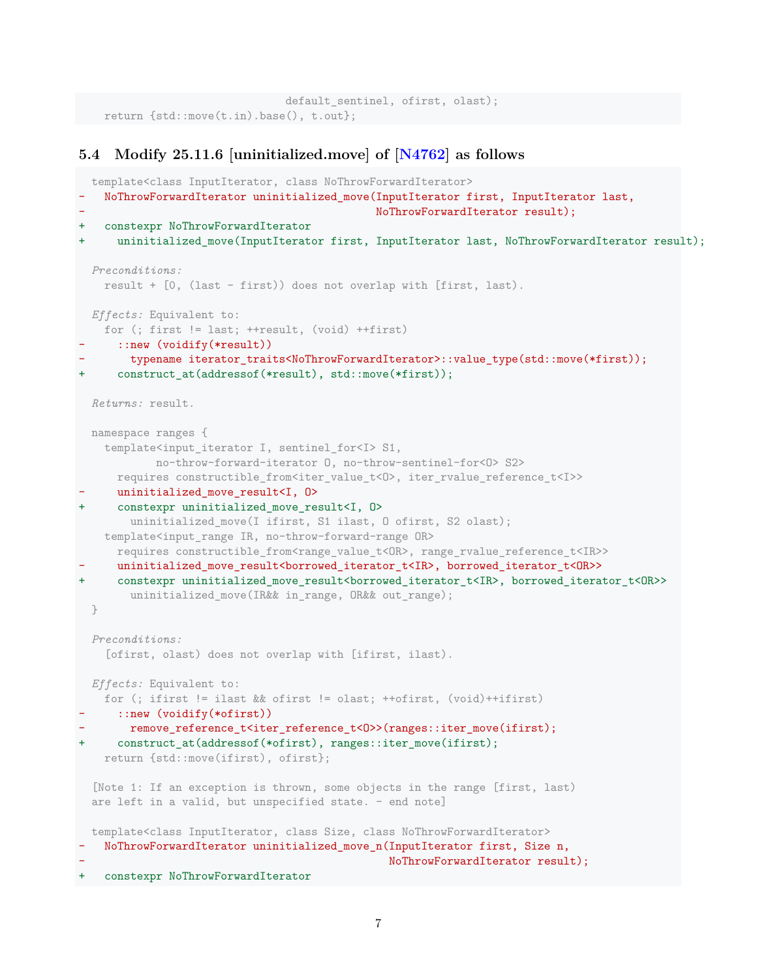```
default_sentinel, ofirst, olast);
return {std::move(t.in).base(), t.out};
```
#### **5.4 Modify 25.11.6 [uninitialized.move] of [[N4762](#page-8-1)] as follows**

```
template<class InputIterator, class NoThrowForwardIterator>
   - NoThrowForwardIterator uninitialized_move(InputIterator first, InputIterator last,
                                              NoThrowForwardIterator result);
+ constexpr NoThrowForwardIterator
     uninitialized move(InputIterator first, InputIterator last, NoThrowForwardIterator result);
 Preconditions:
   result + [0, (last - first)) does not overlap with [first, last).
 Effects: Equivalent to:
   for (; first != last; ++result, (void) ++first)
      ::new (voidify(*result))
       - typename iterator_traits<NoThrowForwardIterator>::value_type(std::move(*first));
      construct_at(addressof(*result), std::move(*first));
 Returns: result.
 namespace ranges {
   template<input_iterator I, sentinel_for<I> S1,
            no-throw-forward-iterator O, no-throw-sentinel-for<O> S2>
     requires constructible_from<iter_value_t<0>, iter_rvalue_reference_t<I>>
     uninitialized move result<I, 0>
+ constexpr uninitialized_move_result<I, O>
       uninitialized_move(I ifirst, S1 ilast, O ofirst, S2 olast);
   template<input_range IR, no-throw-forward-range OR>
     requires constructible_from<range_value_t<OR>, range_rvalue_reference_t<IR>>
     uninitialized move result<br/>borrowed iterator t<IR>, borrowed iterator t<OR>>
      + constexpr uninitialized_move_result<borrowed_iterator_t<IR>, borrowed_iterator_t<OR>>
       uninitialized_move(IR&& in_range, OR&& out_range);
 }
  Preconditions:
    [ofirst, olast) does not overlap with [ifirst, ilast).
 Effects: Equivalent to:
   for (; ifirst != ilast && ofirst != olast; ++ofirst, (void)++ifirst)
      ::new (voidify(*ofirst))
       remove_reference_t<iter_reference_t<0>>(ranges::iter_move(ifirst);
+ construct_at(addressof(*ofirst), ranges::iter_move(ifirst);
   return {std::move(ifirst), ofirst};
  [Note 1: If an exception is thrown, some objects in the range [first, last)
  are left in a valid, but unspecified state. - end note]
 template<class InputIterator, class Size, class NoThrowForwardIterator>
   - NoThrowForwardIterator uninitialized_move_n(InputIterator first, Size n,
                                                NoThrowForwardIterator result);
+ constexpr NoThrowForwardIterator
```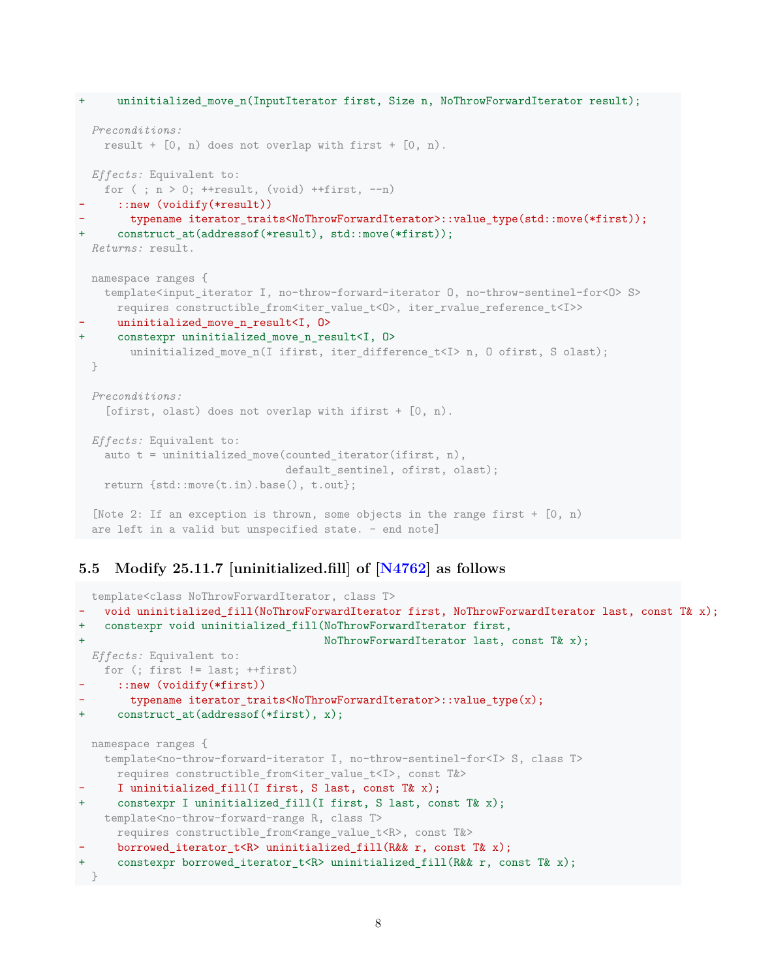```
uninitialized_move_n(InputIterator first, Size n, NoThrowForwardIterator result);
 Preconditions:
   result + [0, n) does not overlap with first + [0, n).
 Effects: Equivalent to:
   for ( ; n > 0; ++result, (void) ++first, --n)
      ::new (voidify(*result))
       typename iterator_traits<NoThrowForwardIterator>::value_type(std::move(*first));
      construct_at(addressof(*result), std::move(*first));
 Returns: result.
 namespace ranges {
   template<input_iterator I, no-throw-forward-iterator O, no-throw-sentinel-for<O> S>
     requires constructible from<iter value t<O>, iter rvalue reference t<I>>
     uninitialized move n result<I, 0>
+ constexpr uninitialized_move_n_result<I, O>
       uninitialized_move_n(I ifirst, iter_difference_t<I> n, O ofirst, S olast);
 }
  Preconditions:
    [ofirst, olast) does not overlap with ifirst + [0, n).
 Effects: Equivalent to:
   auto t = uninitialized_move(counted_iterator(ifirst, n),
                                default_sentinel, ofirst, olast);
   return {std::move(t.in).base(), t.out};
 [Note 2: If an exception is thrown, some objects in the range first + [0, n)
 are left in a valid but unspecified state. — end note]
```
#### **5.5 Modify 25.11.7 [uninitialized.fill] of [\[N4762\]](#page-8-1) as follows**

```
template<class NoThrowForwardIterator, class T>
   void uninitialized_fill(NoThrowForwardIterator first, NoThrowForwardIterator last, const T& x);
+ constexpr void uninitialized_fill(NoThrowForwardIterator first,
+ NoThrowForwardIterator last, const T& x);
 Effects: Equivalent to:
   for (; first != last; ++first)
     ::new (voidify(*first))
       - typename iterator_traits<NoThrowForwardIterator>::value_type(x);
+ construct_at(addressof(*first), x);
 namespace ranges {
   template<no-throw-forward-iterator I, no-throw-sentinel-for<I> S, class T>
     requires constructible_from<iter_value_t<I>, const T&>
     I uninitialized_fill(I first, S last, const T& x);
+ constexpr I uninitialized_fill(I first, S last, const T& x);
   template<no-throw-forward-range R, class T>
     requires constructible_from<range_value_t<R>, const T&>
- borrowed iterator t<R> uninitialized fill(R&& r, const T& x);
+ constexpr borrowed_iterator_t<R> uninitialized_fill(R&& r, const T& x);
}
```